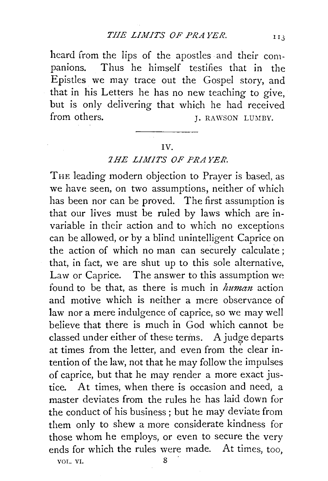heard from the lips of the apostles· and their companions. Thus he himself testifies that in the Epistles we may trace out the Gospel story, and that in his Letters he has no new teaching to give, but is only delivering that which he had received from others.  $I. RAWSON LUMBY.$ 

## IV.

## *1HE LIMITS OF PRAYER*

THE leading modern objection to Prayer is based, as we have seen, on two assumptions, neither of which has been nor can be proved. The first assumption is that our lives must be ruled by laws which are invariable in their action and to which no exceptions can be allowed, or by a blind unintelligent Caprice on the action of which no man can securely calculate ; that, in fact, we are shut up to this sole alternative, Law or Caprice. The answer to this assumption we found to be that, as there is much in *human* action and motive which is neither a mere observance of law nor a mere indulgence of caprice, so we may well believe that there is much in God which cannot be classed under either of these terms. A judge departs at times from the letter, and even from the clear intention of the law, not that he may follow the impulses of caprice, but that he may render a more exact justice. At times, when there is occasion and need, a master deviates from the rules he has laid down for the conduct of his business ; but he may deviate from them only to shew a more considerate kindness for those whom he employs, or even to secure the very ends for which the rules were made. At times, too,

VOL. VI. 8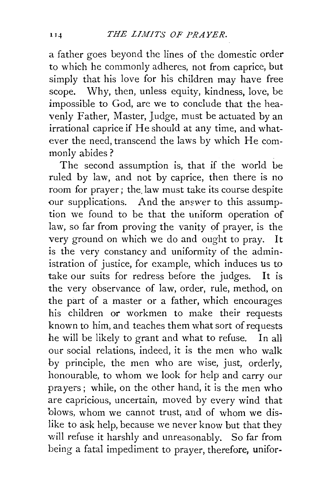a father goes beyond the lines of the domestic order to which he commonly adheres, not from caprice, but simply that his love for his children may have free scope. Why, then, unless equity, kindness, love, be impossible to God, are we to conclude that the heavenly Father, Master, Judge, must be actuated by an irrational caprice if He should at any time, and whatever the need, transcend the laws by which He commonly abides ?

The second assumption is, that if the world be ruled by law, and not by caprice, then there is no room for prayer; the. law must take its course despite our supplications. And the answer to this assumption we found to be that the uniform operation of law, so far from proving the vanity of prayer, is the very ground on which we do and ought to pray. It is the very constancy and uniformity of the administration of justice, for example, which induces us to take our suits for redress before the judges. It is the very observance of law, order, rule, method, on the part of a master or a father, which encourages his children or workmen to make their requests known to him, and teaches them what sort of requests he will be likely to grant and what to refuse. In all our social relations, indeed, it is the men who walk by principle, the men who are wise, just, orderly, honourable, to whom we look for help and carry our prayers; while, on the other hand, it is the men who are capricious, uncertain, moved by every wind that blows, whom we cannot trust, and of whom we dislike to ask help, because we never know but that they will refuse it harshly and unreasonably. So far from being a fatal impediment to prayer, therefore, unifor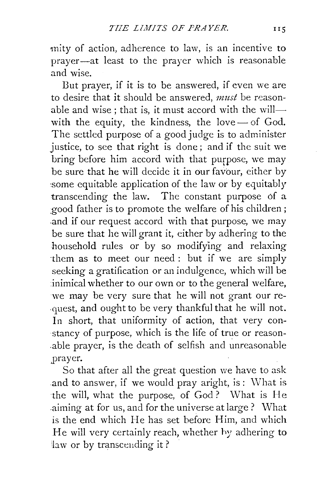mity of action, adherence to law, is an incentive to prayer-at least to the prayer which is reasonable and wise.

But prayer, if it is to be answered, if even we are to desire that it should be answered, *must* be reasonable and wise; that is, it must accord with the willwith the equity, the kindness, the love $-$  of God. The settled purpose of a good judge is to administer justice, to see that right is done; and if the suit we bring before him accord with that purpose, we may be sure that he will decide it in our favour, either by :some equitable application of the law or by equitably transcending the law. The constant purpose of a good father is to promote the welfare of his children; .and if our request accord with that purpose, we may be sure that he will grant it, either by adhering to the household rules or by so modifying and relaxing ·them as to meet our need: but if we are simply seeking a gratification or an indulgence, which will be inimical whether to our own or to the general welfare, we may be very sure that he will not grant our re- ·quest, and ought to be very thankful that he will not. In short, that uniformity of action, that very constancy of purpose, which is the life of true or reason- .able prayer, is the death of selfish and unreasonable j)rayer.

So that after all the great question we have to ask and to answer, if we would pray aright, is: What is the will, what the purpose, of God? What is He aiming at for us, and for the universe at large? What is the end which He has set before Him, and which He will very certainly reach, whether by adhering to 'law or by transceuding it?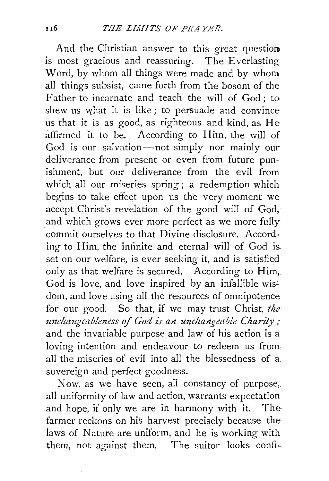And the Christian answer to this great question is most gracious and reassuring. The Everlasting Word, by whom all things were made and by whom all things subsist, came forth from the bosom of the Father to incarnate and teach the will of God; to shew us what it is like; to persuade and convince us that it is as good, as righteous and kind, as He affirmed it to be. According to Him, the will of God is our salvation-not simply nor mainly our deliverance from present or even from future punishment, but our deliverance from the evil from which all our miseries spring; a redemption which begins to take effect upon us the very moment we accept Christ's revelation of the good will of God, and which grows ever more perfect as we more fully commit ourselves to that Divine disclosure. According to Him, the infinite and eternal will of God is. set on our welfare, is ever seeking it, and is satisfied only as that welfare is secured. According to Him, God is love, and love inspired by an infallible wisdom, and love using all the resources of omnipotence for our good. So that, if we may trust Christ, the unchangeableness of God is an unchangeable Charity; and the invariable purpose and law of his action is a loving intention and endeavour to redeem us from all the miseries of evil into all the blessedness of a sovereign and perfect goodness.

Now, as we have seen, all constancy of purpose,. all uniformity of law and action, warrants expectation and hope, if only we are in harmony with it. The farmer reckons on his harvest precisely because the laws of Nature are uniform, and he is working with them, not against them. The suitor looks confi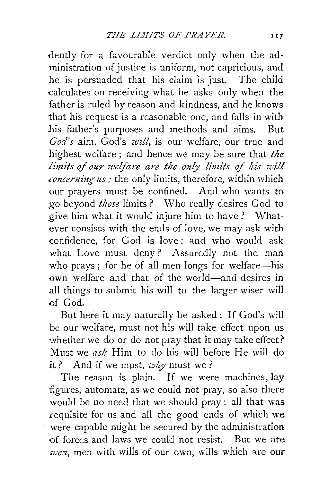dently for a favourable verdict only when the administration of justice is uniform, not capricious, and he is persuaded that his claim 'is just. The child calculates on receiving what he asks only when the father is ruled by reason and kindness, and he knows that his request is a reasonable one, and falls in with his father's purposes and methods and aims. But *God's* aim, God's *will,* is our welfare, our true and highest welfare; and hence we may be sure that *the limits of our welfare are the only limits of his will* concerning us; the only limits, therefore, within which our prayers must be confined. And who wants to *go* beyond *those* limits? Who really desires God to give him what it would injure him to have? Whatever consists with the ends of love, we may ask with confidence, for God is love : and who would ask what Love must deny? Assuredly not the man who prays; for he of all men longs for welfare-his own welfare and that of the world-and desires in all things to submit his will to the larger wiser will of God.

But here it may naturally be asked: If God's will be our welfare, must not his will take effect upon us whether we do or do not pray that it may take effect? Must we *ask* Him to do his will before He will do it? And if we must, *why* must we?

The reason is plain. If we were machines, lay figures, automata, as we could not pray, so also there would be no need that we should pray : all that was requisite for us and all the good ends of which we were capable might be secured by the administration of forces and laws we could not resist. But we ate *men*, men with wills of our own, wills which are our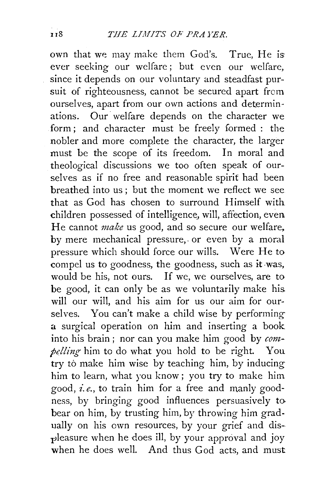own that we may make them God's. True, He is: ever seeking our welfare ; but even our welfare, since it depends on our voluntary and steadfast pursuit of righteousness, cannot be secured apart from ourselves, apart from our own actions and determinations. Our welfare depends on the character we form; and character must be freely formed : the nobler and more complete the character, the larger must be the scope of its freedom. In moral and theological discussions we too often speak of ourselves as if no free and reasonable spirit had been breathed into us ; but the moment we reflect we see that as God has chosen to surround Himself with children possessed of intelligence, will, affection, even He cannot *make* us good, and so secure our welfare, by mere mechanical pressure,. or even by a moral pressure which should force our wills. Were He to compel us to goodness, the goodness, such as it was, would be his, not ours. If we, we ourselves, are to be good, it can only be as we voluntarily make his. will our will, and his aim for us our aim for ourselves. You can't make a child wise by performing a surgical operation on him and inserting a book into his brain ; nor can you make him good by *compelling* him to do what you hold to be right. You try to make him wise by teaching him, by inducing him to learn, what you know ; you try to make him good, *i.e.,* to train him for a free and manly goodness, by bringing good influences persuasively to bear on him, by trusting him, by throwing him gradually on his own resources, by your grief and dis- -pleasure when he does ill, by your approval and joy when he does well. And thus God acts, and must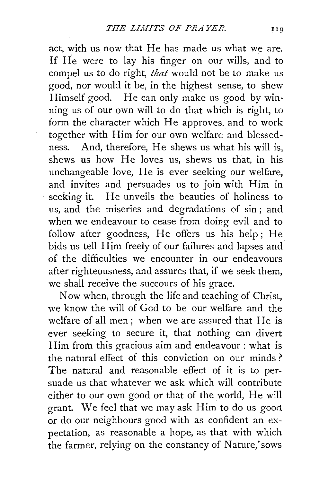act, with us now that He has made us what we are. If He were to lay his finger on our wills, and to compel us to do right, *that* would not be to make us good, nor would it be, in the highest sense, to shew Himself good. He can only make us good by winning us of our own will to do that which is right, to form the character which He approves, and to work together with Him for our own welfare and blessedness. And, therefore, He shews us what his will is, shews us how He loves us, shews us that, in his unchangeable love, He is ever seeking our welfare, and invites and persuades us to join with Him in seeking it. He unveils the beauties of holiness to us, and the miseries and degradations of sin ; and when we endeavour to cease from doing evil and to follow after goodness, He offers us his help; He bids us tell Him freely of our failures and lapses and of the difficulties we encounter in our endeavours after righteousness, and assures that, if we seek them, we shall receive the succours of his grace.

Now when, through the life and teaching of Christ, we know the will of God to be our welfare and the welfare of all men; when we are assured that He is ever seeking to secure it, that nothing can divert Him from this gracious aim and endeavour : what is the natural effect of this conviction on our minds ? The natural and reasonable effect of it is to persuade us that whatever we ask which will contribute either to our own good or that of the world, He will grant. We feel that we may ask Him to do us good or do our neighbours good with as confident an expectation, as reasonable a hope, as that with which the farmer, relying on the constancy of Nature, sows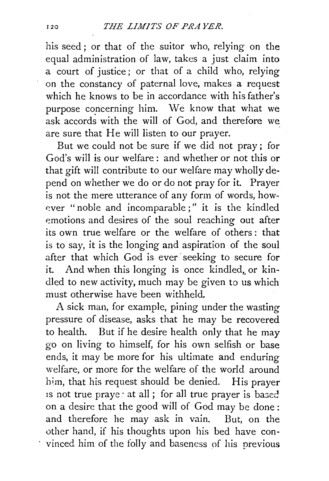his seed ; or that of the suitor who, relying on the equal administration of law, takes a just claim into a court of justice; or that of a child who, relying on the constancy of paternal love, makes a request which he knows to be in accordance with his father's purpose concerning him. We know that what we ask accords with the will of God, and therefore we are sure that He will listen to our prayer.

But we could not be sure if we did not pray; for God's will is our welfare: and whether or not this or that gift will contribute to our welfare may wholly depend on whether we do or do not pray for it. Prayer is not the mere utterance of any form of words, how ever "noble and incomparable;" it is the kindled emotions and desires of the soul reaching out after its own true welfare or the welfare of others: that is to say, it is the longing and aspiration of the soul after that which God is ever seeking to secure for it. And when this longing is once kindled, or kindled to new activity, much may be given to us which must otherwise have been withheld.

A sick man, for example, pining under the wasting pressure of disease, asks that he may be recovered to health. But if he desire health only that he may *go* on living to himself, for his own selfish or base ends, it may be more for his ultimate and enduring welfare, or more for the welfare of the world around him, that his request should be denied. His prayer 1s not true praye: at all; for all true prayer is based on a desire that the good will of God may be done : and therefore he may ask in vain. But, on the other hand, if his thoughts upon his bed have convinced him of the folly and baseness of his previous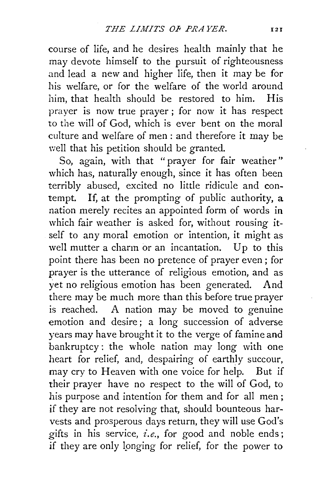course of life, and he desires health mainly that he may devote himself to the pursuit of righteousness and lead a new and higher life, then it may be for his welfare, or for the welfare of the world around him, that health should be restored to him. His prayer is now true prayer ; for now it has respect to the will of God, which is ever bent on the moral culture and welfare of men: and therefore it may be well that his petition should be granted.

So, again, with that "prayer for fair weather" which has, naturally enough, since it has often been terribly abused, excited no little ridicule and contempt. If, at the prompting of public authority, a nation merely recites an appointed form of words in which fair weather is asked for, without rousing itself to any moral emotion or intention, it might as well mutter a charm or an incantation. Up to this point there has been no pretence of prayer even ; for prayer is the utterance of religious emotion, and as yet no religious emotion has been generated. And there may be much more than this before true prayer is reached. A nation may be moved to genuine emotion and desire; a long succession of adverse years may have brought it to the verge of famine and bankruptcy: the whole nation may long with one heart for relief, and, despairing of earthly succour, may cry to Heaven with one voice for help. But if their prayer have no respect to the will of God, to his purpose and intention for them and for all men ; if they are not resolving that, should bounteous harvests and prosperous days return, they will use God's gifts in his service, *i.e.,* for good and noble ends; if they are only longing for relief, for the power to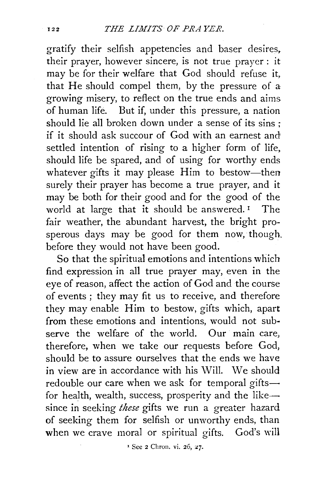gratify their selfish appetencies and baser desires, their prayer, however sincere, is not true prayer: it may be for their welfare that God should refuse it, that He should compel them, by the pressure of a: growing misery, to reflect on the true ends and aims of human life. But if, under this pressure, a nation should lie all broken down under a sense of its sins ; if it should ask succour of God with an earnest and settled intention of rising to a higher form of life, should life be spared, and of using for worthy ends whatever gifts it may please Him to bestow-then surely their prayer has become a true prayer, and it may be both for their good and for the good of the world at large that it should be answered.<sup>1</sup> The fair weather, the abundant harvest, the bright prosperous days may be good for them now, though. before they would not have been good.

So that the spiritual emotions and intentions which find expression in all true prayer may, even in the eye of reason, affect the action of God and the course of events ; they may fit us to receive, and therefore they may enable Him to bestow, gifts which, apart from these emotions and intentions, would not subserve the welfare of the world. Our main care, therefore, when we take our requests before God, should be to assure ourselves that the ends we have in view are in accordance with his Will. We should redouble our care when we ask for temporal gifts $$ for health, wealth, success, prosperity and the like-since in seeking *these* gifts we run a greater hazard of seeking them for selfish or unworthy ends, than when we crave moral or spiritual gifts. God's will

<sup>1</sup> See 2 Chron. vi. 26, 27.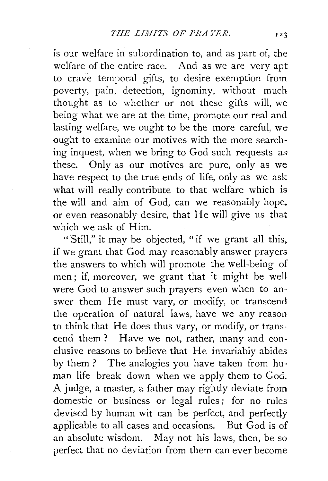is our welfare in subordination to, and as part of, the welfare of the entire race. And as we are very apt to crave temporal gifts, to desire exemption from poverty, pain, detection, ignominy, without much thought as to whether or not these gifts will, we being what we are at the time, promote our real and lasting welfare, we ought to be the more careful, we ought to examine our motives with the more searching inquest, when we bring to God such requests as· these. Only as our motives are pure, only as we have respect to the true ends of life, only as we ask what will really contribute to that welfare which is the will and aim of God, can we reasonably hope. or even reasonably desire, that He will give us that which we ask of Him.

"Still," it may be objected, "if we grant all this. if we grant that God may reasonably answer prayers the answers to which will promote the well-being of men ; if, moreover, we grant that it might be well were God to answer such prayers even when to answer them He must vary, or modify; or transcend the operation of natural laws, have we any reason to think that He does thus vary, or modify, or transcend them? Have we not, rather, many and conclusive reasons to believe that He invariably abides by them? The analogies you have taken from human life break down when we apply them to God. A judge, a master, a father may rightly deviate from domestic or business or legal rules; for no rules devised by human wit can be perfect, and perfectly applicable to all cases and occasions. But God is of an absolute wisdom. May not his laws, then, be so perfect that no deviation from them can ever become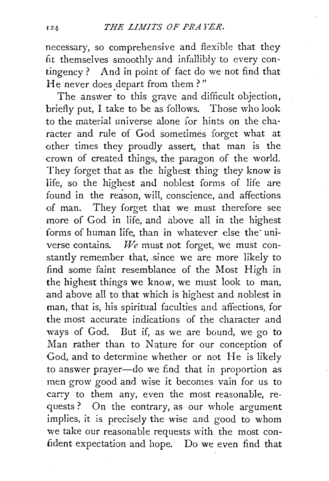necessary, so comprehensive and flexible that they fit themselves smoothly and infallibly to every contingency ? And in point of fact do we not find that He never does depart from them?"

The answer to this grave and difficult objection, briefly put, I take to be as follows. Those who look to the material universe alone for hints on the cha· racter and rule of God sometimes forget what at other times they proudly assert, that man is the crown of created things, the paragon of the world. They forget that as the highest thing they know is life, so the highest and noblest forms of life are found in the reason, will, conscience, and affections of man. They forget that we must therefore see more of God in life, and above all in the highest forms of human life, than in whatever else the universe contains. *We* must not forget, we must constantly remember that, since we are more likely to find some faint resemblance of the Most High in the highest things we know, we must look to man, and above all to that which is highest and noblest in man, that is, his spiritual faculties and affections, for the most accurate indications of the character and ways of God. But if, as we are bound, we go to Man rather than to Nature for our conception of God, ahd to determine whether or not He is likely to answer prayer-do we find that in proportion as men grow good and wise it becomes vain for us to can:y to them any, even the most reasonable, requests? On the contrary, as our whole argument implies, it is precisely the wise and good to whom we take our reasonable requests with the most confident expectation and hope. Do we even find that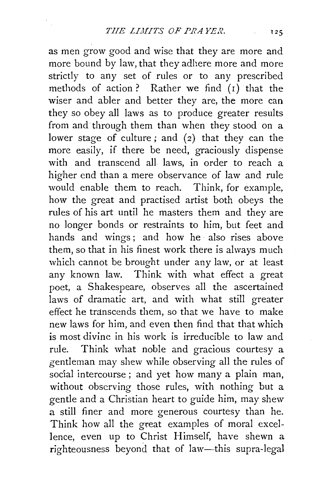as men grow good and wise that they are more and more bound by law, that they adhere more and more strictly to any set of rules or to any prescribed methods of action? Rather we find  $(i)$  that the wiser and abler and better they are, the more can they so obey all laws as to produce greater results from and through them than when they stood on a lower stage of culture; and  $(2)$  that they can the more easily, if there be need, graciously dispense with and transcend all laws, in order to reach a higher end than a mere observance of law and rule would enable them to reach. Think, for example, how the great and practised artist both obeys the rules of his art until he masters them and they are no longer bonds or restraints to him, but feet and hands and wings; and how he also rises above them, so that in his finest work there is always much which cannot be brought under any law, or at least any known law. Think with what effect a great poet, a Shakespeare, observes all the ascertained laws of dramatic art, and with what still greater effect he transcends them, so that we have to make new laws for him, and even then find that that which is most divine in his work is irreducible to law and rule. Think what noble and gracious courtesy a gentleman may shew while observing all the rules of social intercourse; and yet how many a plain man, without observing those rules, with nothing but a gentle and a Christian heart to guide him, may shew a still finer and more generous courtesy than he. Think how all the great examples of moral excellence, even up to Christ Himself, have shewn a righteousness beyond that of law-this supra-legal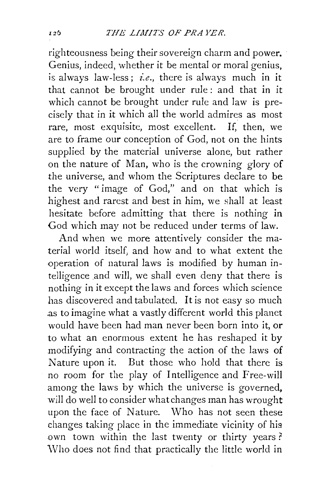righteousness being their sovereign charm and power. Genius, indeed, whether it be mental or moral genius, is always law-less:  $i.e.,$  there is always much in it that cannot be brought under rule : and that in it which cannot be brought under rule and law is precisely that in it which all the world admires as most rare, most exquisite, most excellent. If, then, we are to frame our conception of God, not on the hints supplied by the material universe alone, but rather on the nature of Man, who is the crowning glory of the universe, and whom the Scriptures declare to be the very " image of God," and on that which is highest and rarest and best in him, we shall at least hesitate before admitting that there is nothing in God which may not be reduced under terms of law.

And when we more attentively consider the material world itself, and how and to what extent the operation of natural laws is modified by human intelligence and will, we shali even deny that there is nothing in it except the laws and forces which science has discovered and tabulated. It is not easy so much .as to imagine what a vastly different world this planet would have been had man never been born into it, or to what an enormous extent he has reshaped it by modifying and contracting the action of the laws of Nature upon it. But those who hold that there is no room for the play of Intelligence and Free-will among the laws by which the universe is governed, will do well to consider what changes man has wrought upon the face of Nature. Who has not seen these changes taking place in the immediate vicinity of his own town within the last twenty or thirty years ? \Vho does not find that practically the little world in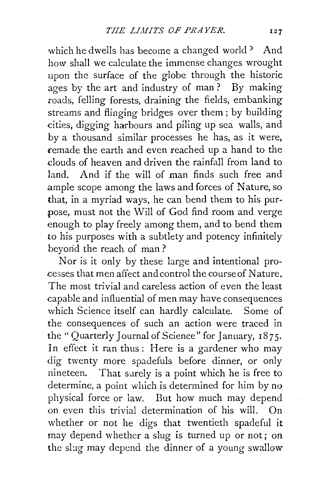which he dwells has become a changed world? And how shall we calculate the immense changes wrought upon the surface of the globe through the historic ages by the art and industry of man ? By making roads, felling forests, draining the fields, embanking streams and flinging bridges over them; by building cities, digging harbours and piling up sea walls, and by a thousand similar processes he has, as it were, remade the earth and even reached up a hand to the clouds of heaven and driven the rainfall from land to land. And if the will of man finds such free and ample scope among the laws and forces of Nature, so that, in a myriad ways, he can bend them to his purpose, must not the Will of God find room and verge enough to play freely among them, and to bend them to his purposes with a subtlety and potency infinitely beyond the reach of man ?

Nor is it only by these large and intentional processes that men affect and control the course of Nature. The most trivial and careless action of even the least capable and influential of men may have consequences which Science itself can hardly calculate. Some of the consequences of such an action were traced in the "Quarterly Journal of Science" for January, 1875. In effect it ran thus: Here is a gardener who may dig twenty more spadefuls before dinner, or only nineteen. That surely is a point which he is free to determine, a point which is determined for him by no physical force or law. But how much may depend on even this trivial determination of his will. On whether or not he digs that twentieth spadeful it may depend whether a slug is turned up or not; on the slug may depend the dinner of a young swallow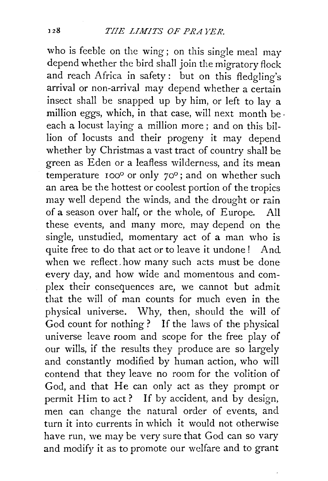who is feeble on the wing; on this single meal may depend whether the bird shall join the migratory flock and reach Africa in safety: but on this fledgling's arrival or non-arrival may depend whether a certain insect shall be snapped up by him, or left to lay a million eggs, which, in that case, will next month be. each a locust laying a million more; and on this billion of locusts and their progeny it may depend whether by Christmas a vast tract of country shall be green as Eden or a leafless wilderness, and its mean temperature  $100^\circ$  or only  $70^\circ$ ; and on whether such an area be the hottest or coolest portion of the tropics may well depend the winds, and the drought or rain of a season over half, or the whole, of Europe. All these events, and many more, may depend on the single, unstudied, momentary act of a man who is quite free to do that act or to leave it undone! And when we reflect. how many such acts must be done every day, and how wide and momentous and complex their consequences are, we cannot but admit that the will of man counts for much even in the physical universe. Why, then, should the will of God count for nothing ? If the laws of the physical universe leave room and scope for the free play of our wills, if the results they produce are so largely and constantly modified by human action, who will contend that they leave no room for the volition of God, and that He can only act as they prompt or permit Him to act? If by accident, and by design, men can change the natural order of events, and turn it into currents in which it would not otherwise have run, we may be very sure that God can so vary and modify it as to promote our welfare and to grant